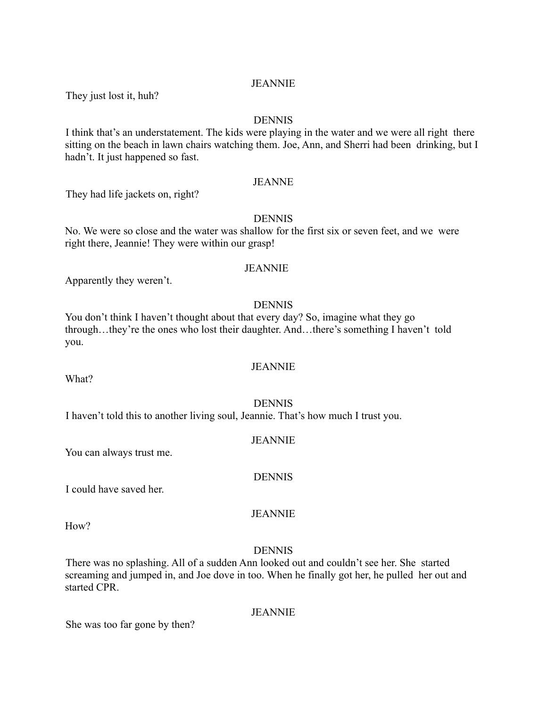# **JEANNIE**

They just lost it, huh?

#### DENNIS

I think that's an understatement. The kids were playing in the water and we were all right there sitting on the beach in lawn chairs watching them. Joe, Ann, and Sherri had been drinking, but I hadn't. It just happened so fast.

# JEANNE

They had life jackets on, right?

#### **DENNIS**

No. We were so close and the water was shallow for the first six or seven feet, and we were right there, Jeannie! They were within our grasp!

#### **JEANNIE**

Apparently they weren't.

### DENNIS

You don't think I haven't thought about that every day? So, imagine what they go through…they're the ones who lost their daughter. And…there's something I haven't told you.

#### JEANNIE

What?

#### DENNIS

JEANNIE

DENNIS

I haven't told this to another living soul, Jeannie. That's how much I trust you.

#### You can always trust me.

I could have saved her.

H<sub>ow</sub>?

# JEANNIE

#### DENNIS

There was no splashing. All of a sudden Ann looked out and couldn't see her. She started screaming and jumped in, and Joe dove in too. When he finally got her, he pulled her out and started CPR.

She was too far gone by then?

# JEANNIE